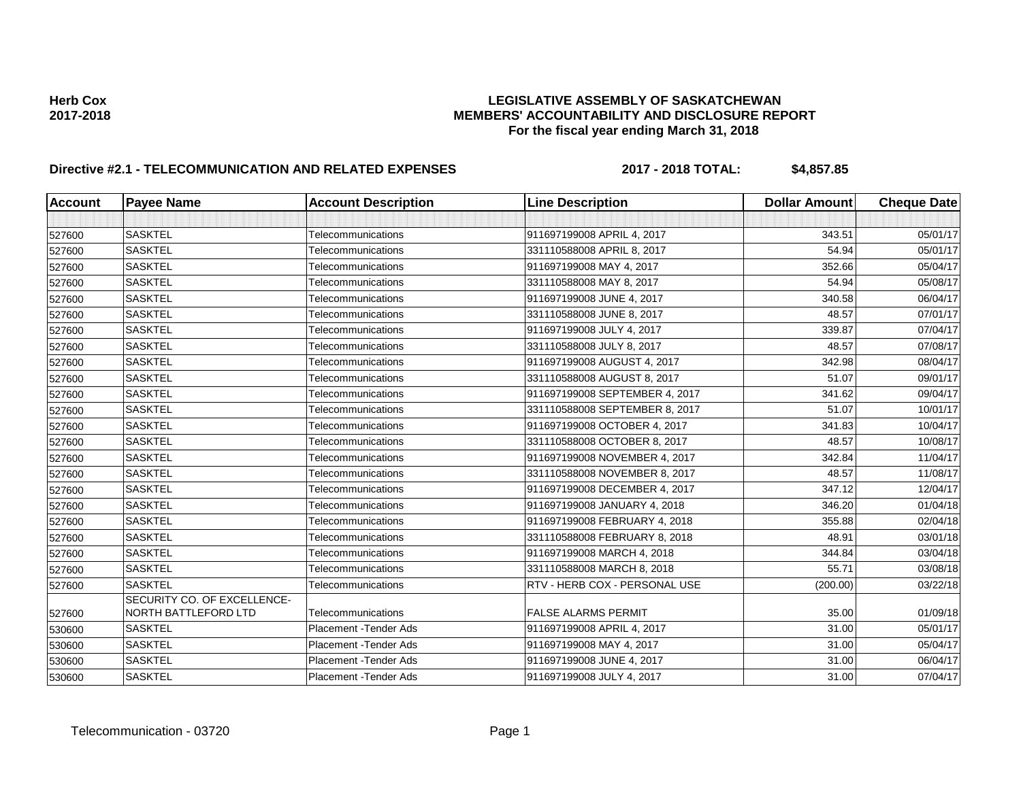# **Directive #2.1 - TELECOMMUNICATION AND RELATED EXPENSES 2017 - 2018 TOTAL: \$4,857.85**

| <b>Account</b> | <b>Payee Name</b>                                   | <b>Account Description</b> | <b>Line Description</b>        | <b>Dollar Amount</b> | <b>Cheque Date</b> |
|----------------|-----------------------------------------------------|----------------------------|--------------------------------|----------------------|--------------------|
|                |                                                     |                            |                                |                      |                    |
| 527600         | <b>SASKTEL</b>                                      | Telecommunications         | 911697199008 APRIL 4, 2017     | 343.51               | 05/01/17           |
| 527600         | <b>SASKTEL</b>                                      | Telecommunications         | 331110588008 APRIL 8, 2017     | 54.94                | 05/01/17           |
| 527600         | <b>SASKTEL</b>                                      | Telecommunications         | 911697199008 MAY 4, 2017       | 352.66               | 05/04/17           |
| 527600         | <b>SASKTEL</b>                                      | Telecommunications         | 331110588008 MAY 8, 2017       | 54.94                | 05/08/17           |
| 527600         | <b>SASKTEL</b>                                      | Telecommunications         | 911697199008 JUNE 4, 2017      | 340.58               | 06/04/17           |
| 527600         | <b>SASKTEL</b>                                      | Telecommunications         | 331110588008 JUNE 8, 2017      | 48.57                | 07/01/17           |
| 527600         | <b>SASKTEL</b>                                      | Telecommunications         | 911697199008 JULY 4, 2017      | 339.87               | 07/04/17           |
| 527600         | <b>SASKTEL</b>                                      | Telecommunications         | 331110588008 JULY 8, 2017      | 48.57                | 07/08/17           |
| 527600         | <b>SASKTEL</b>                                      | Telecommunications         | 911697199008 AUGUST 4, 2017    | 342.98               | 08/04/17           |
| 527600         | <b>SASKTEL</b>                                      | Telecommunications         | 331110588008 AUGUST 8, 2017    | 51.07                | 09/01/17           |
| 527600         | <b>SASKTEL</b>                                      | Telecommunications         | 911697199008 SEPTEMBER 4, 2017 | 341.62               | 09/04/17           |
| 527600         | <b>SASKTEL</b>                                      | Telecommunications         | 331110588008 SEPTEMBER 8, 2017 | 51.07                | 10/01/17           |
| 527600         | <b>SASKTEL</b>                                      | Telecommunications         | 911697199008 OCTOBER 4, 2017   | 341.83               | 10/04/17           |
| 527600         | <b>SASKTEL</b>                                      | Telecommunications         | 331110588008 OCTOBER 8, 2017   | 48.57                | 10/08/17           |
| 527600         | <b>SASKTEL</b>                                      | Telecommunications         | 911697199008 NOVEMBER 4, 2017  | 342.84               | 11/04/17           |
| 527600         | <b>SASKTEL</b>                                      | Telecommunications         | 331110588008 NOVEMBER 8, 2017  | 48.57                | 11/08/17           |
| 527600         | <b>SASKTEL</b>                                      | Telecommunications         | 911697199008 DECEMBER 4, 2017  | 347.12               | 12/04/17           |
| 527600         | <b>SASKTEL</b>                                      | Telecommunications         | 911697199008 JANUARY 4, 2018   | 346.20               | 01/04/18           |
| 527600         | <b>SASKTEL</b>                                      | Telecommunications         | 911697199008 FEBRUARY 4, 2018  | 355.88               | 02/04/18           |
| 527600         | <b>SASKTEL</b>                                      | Telecommunications         | 331110588008 FEBRUARY 8, 2018  | 48.91                | 03/01/18           |
| 527600         | <b>SASKTEL</b>                                      | Telecommunications         | 911697199008 MARCH 4, 2018     | 344.84               | 03/04/18           |
| 527600         | <b>SASKTEL</b>                                      | Telecommunications         | 331110588008 MARCH 8, 2018     | 55.71                | 03/08/18           |
| 527600         | <b>SASKTEL</b>                                      | Telecommunications         | RTV - HERB COX - PERSONAL USE  | (200.00)             | 03/22/18           |
| 527600         | SECURITY CO. OF EXCELLENCE-<br>NORTH BATTLEFORD LTD | Telecommunications         | <b>FALSE ALARMS PERMIT</b>     | 35.00                | 01/09/18           |
| 530600         | <b>SASKTEL</b>                                      | Placement - Tender Ads     | 911697199008 APRIL 4, 2017     | 31.00                | 05/01/17           |
| 530600         | <b>SASKTEL</b>                                      | Placement - Tender Ads     | 911697199008 MAY 4, 2017       | 31.00                | 05/04/17           |
| 530600         | <b>SASKTEL</b>                                      | Placement - Tender Ads     | 911697199008 JUNE 4, 2017      | 31.00                | 06/04/17           |
| 530600         | <b>SASKTEL</b>                                      | Placement - Tender Ads     | 911697199008 JULY 4, 2017      | 31.00                | 07/04/17           |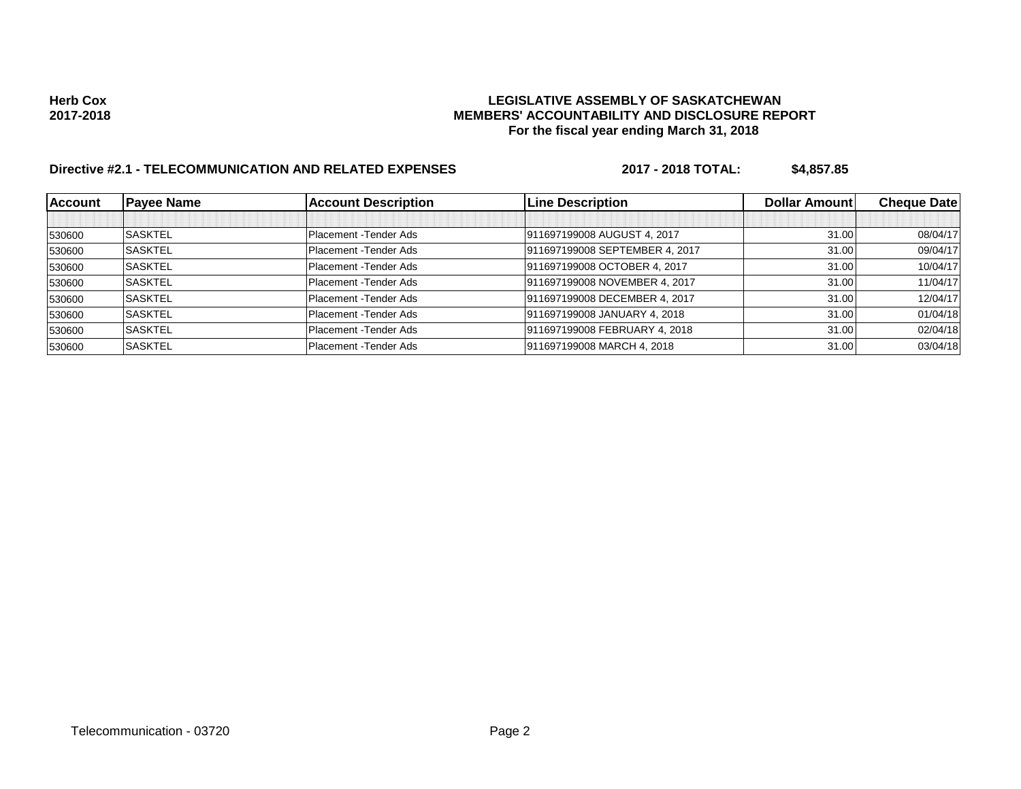# **Directive #2.1 - TELECOMMUNICATION AND RELATED EXPENSES 2017 - 2018 TOTAL: \$4,857.85**

| <b>Account</b> | <b>Payee Name</b> | <b>Account Description</b> | <b>Line Description</b>        | Dollar Amount | <b>Cheque Date</b> |
|----------------|-------------------|----------------------------|--------------------------------|---------------|--------------------|
|                |                   |                            |                                |               |                    |
| 530600         | <b>SASKTEL</b>    | Placement - Tender Ads     | 911697199008 AUGUST 4, 2017    | 31.00         | 08/04/17           |
| 530600         | <b>SASKTEL</b>    | Placement - Tender Ads     | 911697199008 SEPTEMBER 4, 2017 | 31.00         | 09/04/17           |
| 530600         | <b>SASKTEL</b>    | Placement - Tender Ads     | 911697199008 OCTOBER 4, 2017   | 31.00         | 10/04/17           |
| 530600         | <b>SASKTEL</b>    | Placement - Tender Ads     | 911697199008 NOVEMBER 4, 2017  | 31.00         | 11/04/17           |
| 530600         | <b>SASKTEL</b>    | Placement - Tender Ads     | 911697199008 DECEMBER 4, 2017  | 31.00         | 12/04/17           |
| 530600         | <b>SASKTEL</b>    | Placement - Tender Ads     | 911697199008 JANUARY 4, 2018   | 31.00         | 01/04/18           |
| 530600         | <b>SASKTEL</b>    | Placement - Tender Ads     | 911697199008 FEBRUARY 4, 2018  | 31.00         | 02/04/18           |
| 530600         | <b>SASKTEL</b>    | Placement - Tender Ads     | 911697199008 MARCH 4, 2018     | 31.00         | 03/04/18           |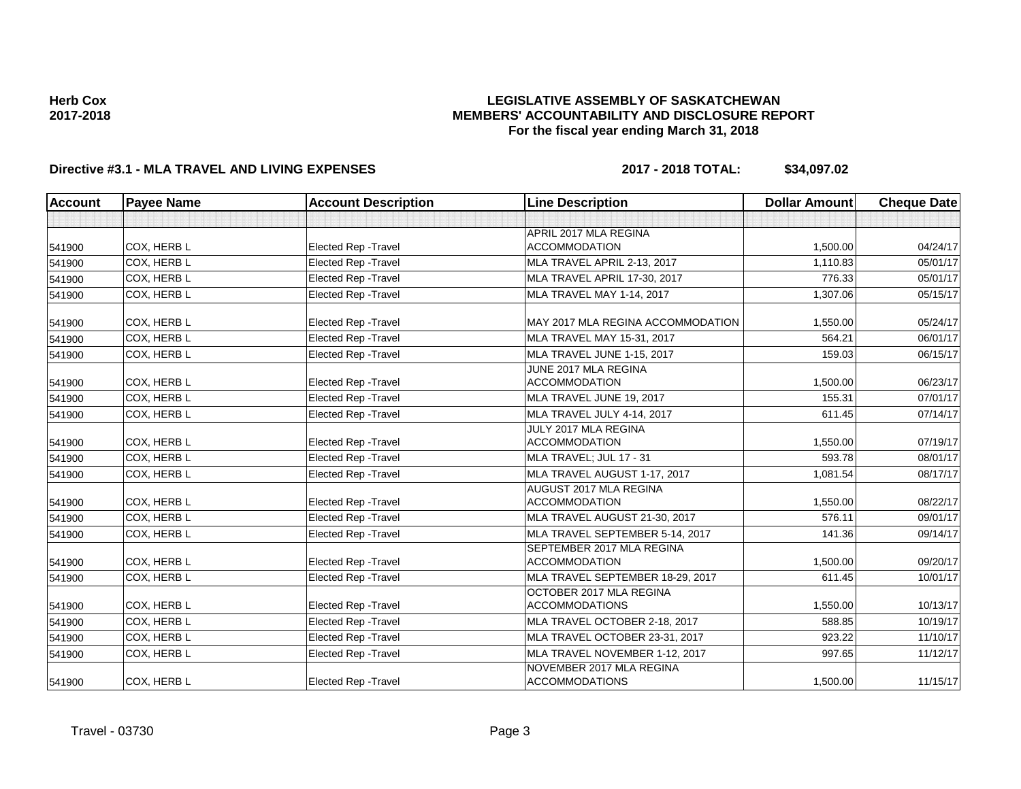## **LEGISLATIVE ASSEMBLY OF SASKATCHEWAN MEMBERS' ACCOUNTABILITY AND DISCLOSURE REPORT For the fiscal year ending March 31, 2018**

# **Directive #3.1 - MLA TRAVEL AND LIVING EXPENSES 2017 - 2018 TOTAL: \$34,097.02**

| <b>Account</b> | <b>Payee Name</b> | <b>Account Description</b>  | <b>Line Description</b>                           | <b>Dollar Amount</b> | <b>Cheque Date</b> |
|----------------|-------------------|-----------------------------|---------------------------------------------------|----------------------|--------------------|
|                |                   |                             |                                                   |                      |                    |
|                |                   |                             | APRIL 2017 MLA REGINA                             |                      |                    |
| 541900         | COX. HERB L       | <b>Elected Rep - Travel</b> | <b>ACCOMMODATION</b>                              | 1,500.00             | 04/24/17           |
| 541900         | COX, HERB L       | <b>Elected Rep - Travel</b> | MLA TRAVEL APRIL 2-13, 2017                       | 1,110.83             | 05/01/17           |
| 541900         | COX. HERB L       | Elected Rep - Travel        | MLA TRAVEL APRIL 17-30, 2017                      | 776.33               | 05/01/17           |
| 541900         | COX. HERB L       | <b>Elected Rep - Travel</b> | MLA TRAVEL MAY 1-14, 2017                         | 1,307.06             | 05/15/17           |
| 541900         | COX, HERB L       | Elected Rep - Travel        | MAY 2017 MLA REGINA ACCOMMODATION                 | 1,550.00             | 05/24/17           |
| 541900         | COX. HERB L       | <b>Elected Rep - Travel</b> | MLA TRAVEL MAY 15-31, 2017                        | 564.21               | 06/01/17           |
| 541900         | COX, HERB L       | Elected Rep - Travel        | MLA TRAVEL JUNE 1-15, 2017                        | 159.03               | 06/15/17           |
| 541900         | COX, HERB L       | <b>Elected Rep - Travel</b> | JUNE 2017 MLA REGINA<br><b>ACCOMMODATION</b>      | 1,500.00             | 06/23/17           |
| 541900         | COX. HERB L       | Elected Rep - Travel        | MLA TRAVEL JUNE 19, 2017                          | 155.31               | 07/01/17           |
| 541900         | COX. HERB L       | Elected Rep - Travel        | MLA TRAVEL JULY 4-14, 2017                        | 611.45               | 07/14/17           |
| 541900         | COX, HERB L       | Elected Rep - Travel        | JULY 2017 MLA REGINA<br><b>ACCOMMODATION</b>      | 1,550.00             | 07/19/17           |
| 541900         | COX, HERB L       | <b>Elected Rep - Travel</b> | MLA TRAVEL; JUL 17 - 31                           | 593.78               | 08/01/17           |
| 541900         | COX, HERB L       | <b>Elected Rep - Travel</b> | MLA TRAVEL AUGUST 1-17, 2017                      | 1,081.54             | 08/17/17           |
| 541900         | COX. HERB L       | <b>Elected Rep - Travel</b> | AUGUST 2017 MLA REGINA<br><b>ACCOMMODATION</b>    | 1.550.00             | 08/22/17           |
| 541900         | COX, HERB L       | <b>Elected Rep - Travel</b> | MLA TRAVEL AUGUST 21-30, 2017                     | 576.11               | 09/01/17           |
| 541900         | COX, HERB L       | Elected Rep - Travel        | MLA TRAVEL SEPTEMBER 5-14, 2017                   | 141.36               | 09/14/17           |
| 541900         | COX, HERB L       | Elected Rep - Travel        | SEPTEMBER 2017 MLA REGINA<br><b>ACCOMMODATION</b> | 1,500.00             | 09/20/17           |
| 541900         | COX. HERB L       | <b>Elected Rep - Travel</b> | MLA TRAVEL SEPTEMBER 18-29, 2017                  | 611.45               | 10/01/17           |
| 541900         | COX, HERB L       | Elected Rep - Travel        | OCTOBER 2017 MLA REGINA<br><b>ACCOMMODATIONS</b>  | 1.550.00             | 10/13/17           |
| 541900         | COX, HERB L       | Elected Rep - Travel        | MLA TRAVEL OCTOBER 2-18, 2017                     | 588.85               | 10/19/17           |
| 541900         | COX, HERB L       | Elected Rep - Travel        | MLA TRAVEL OCTOBER 23-31, 2017                    | 923.22               | 11/10/17           |
| 541900         | COX, HERB L       | <b>Elected Rep - Travel</b> | MLA TRAVEL NOVEMBER 1-12, 2017                    | 997.65               | 11/12/17           |
| 541900         | COX. HERB L       | <b>Elected Rep - Travel</b> | NOVEMBER 2017 MLA REGINA<br><b>ACCOMMODATIONS</b> | 1,500.00             | 11/15/17           |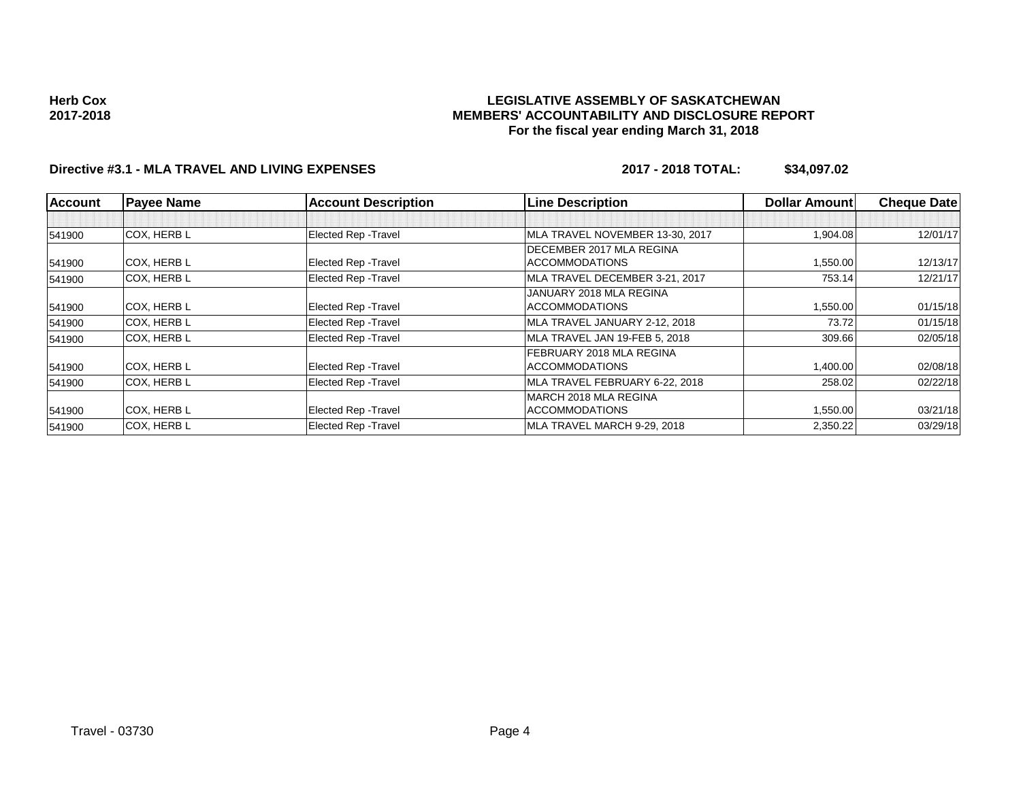# **Directive #3.1 - MLA TRAVEL AND LIVING EXPENSES 2017 - 2018 TOTAL: \$34,097.02**

| <b>Account</b> | <b>Payee Name</b>  | <b>Account Description</b>  | <b>Line Description</b>         | <b>Dollar Amountl</b> | <b>Cheque Date</b> |
|----------------|--------------------|-----------------------------|---------------------------------|-----------------------|--------------------|
|                |                    |                             |                                 |                       |                    |
| 541900         | <b>COX. HERB L</b> | <b>Elected Rep - Travel</b> | MLA TRAVEL NOVEMBER 13-30, 2017 | 1,904.08              | 12/01/17           |
|                |                    |                             | DECEMBER 2017 MLA REGINA        |                       |                    |
| 541900         | COX, HERB L        | <b>Elected Rep - Travel</b> | <b>ACCOMMODATIONS</b>           | 1,550.00              | 12/13/17           |
| 541900         | <b>COX, HERB L</b> | <b>Elected Rep - Travel</b> | MLA TRAVEL DECEMBER 3-21, 2017  | 753.14                | 12/21/17           |
|                |                    |                             | JANUARY 2018 MLA REGINA         |                       |                    |
| 541900         | COX, HERB L        | <b>Elected Rep - Travel</b> | <b>ACCOMMODATIONS</b>           | 1,550.00              | 01/15/18           |
| 541900         | <b>COX, HERB L</b> | <b>Elected Rep - Travel</b> | MLA TRAVEL JANUARY 2-12, 2018   | 73.72                 | 01/15/18           |
| 541900         | <b>COX, HERB L</b> | <b>Elected Rep - Travel</b> | MLA TRAVEL JAN 19-FEB 5, 2018   | 309.66                | 02/05/18           |
|                |                    |                             | FEBRUARY 2018 MLA REGINA        |                       |                    |
| 541900         | <b>COX, HERB L</b> | <b>Elected Rep - Travel</b> | <b>ACCOMMODATIONS</b>           | 1,400.00              | 02/08/18           |
| 541900         | <b>COX, HERB L</b> | <b>Elected Rep - Travel</b> | MLA TRAVEL FEBRUARY 6-22, 2018  | 258.02                | 02/22/18           |
|                |                    |                             | IMARCH 2018 MLA REGINA          |                       |                    |
| 541900         | <b>COX, HERB L</b> | <b>Elected Rep - Travel</b> | <b>ACCOMMODATIONS</b>           | 1,550.00              | 03/21/18           |
| 541900         | <b>COX. HERB L</b> | Elected Rep - Travel        | MLA TRAVEL MARCH 9-29, 2018     | 2,350.22              | 03/29/18           |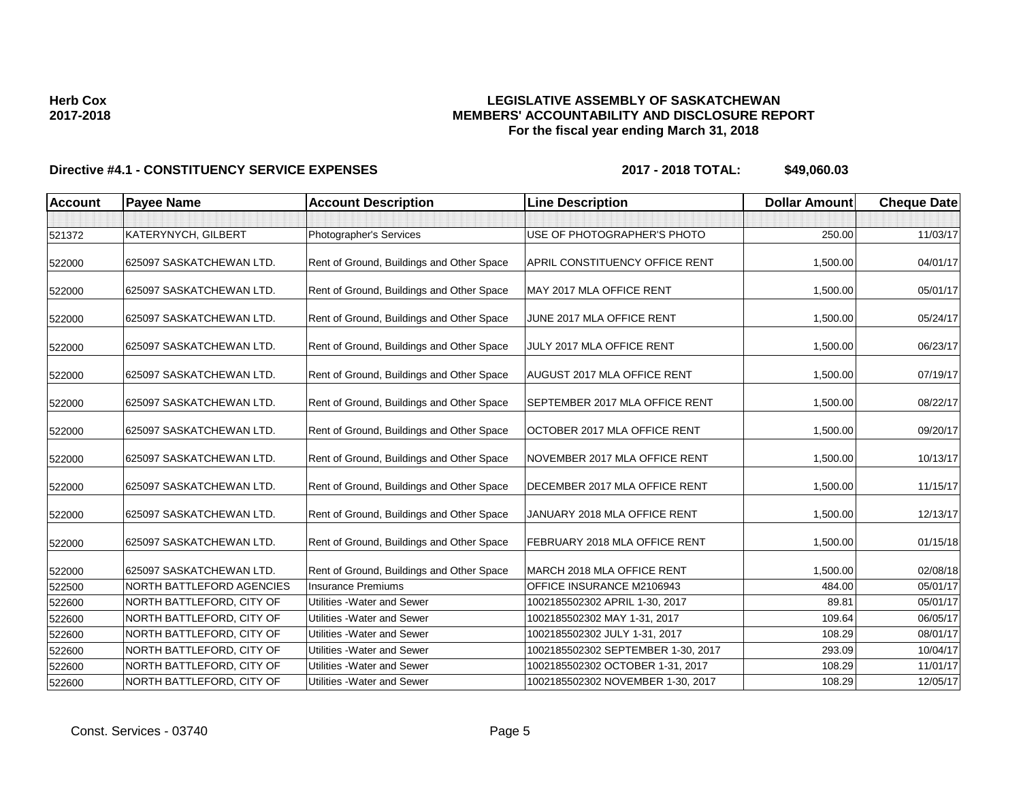## **LEGISLATIVE ASSEMBLY OF SASKATCHEWAN MEMBERS' ACCOUNTABILITY AND DISCLOSURE REPORT For the fiscal year ending March 31, 2018**

| <b>Account</b> | <b>Payee Name</b>                | <b>Account Description</b>                | <b>Line Description</b>               | <b>Dollar Amount</b> | <b>Cheque Date</b> |
|----------------|----------------------------------|-------------------------------------------|---------------------------------------|----------------------|--------------------|
|                |                                  |                                           |                                       |                      |                    |
| 521372         | KATERYNYCH, GILBERT              | Photographer's Services                   | USE OF PHOTOGRAPHER'S PHOTO           | 250.00               | 11/03/17           |
| 522000         | 625097 SASKATCHEWAN LTD.         | Rent of Ground, Buildings and Other Space | <b>APRIL CONSTITUENCY OFFICE RENT</b> | 1,500.00             | 04/01/17           |
| 522000         | 625097 SASKATCHEWAN LTD.         | Rent of Ground, Buildings and Other Space | MAY 2017 MLA OFFICE RENT              | 1,500.00             | 05/01/17           |
| 522000         | 625097 SASKATCHEWAN LTD.         | Rent of Ground, Buildings and Other Space | JUNE 2017 MLA OFFICE RENT             | 1,500.00             | 05/24/17           |
| 522000         | 625097 SASKATCHEWAN LTD.         | Rent of Ground, Buildings and Other Space | JULY 2017 MLA OFFICE RENT             | 1,500.00             | 06/23/17           |
| 522000         | 625097 SASKATCHEWAN LTD.         | Rent of Ground, Buildings and Other Space | <b>AUGUST 2017 MLA OFFICE RENT</b>    | 1,500.00             | 07/19/17           |
| 522000         | 625097 SASKATCHEWAN LTD.         | Rent of Ground, Buildings and Other Space | SEPTEMBER 2017 MLA OFFICE RENT        | 1,500.00             | 08/22/17           |
| 522000         | 625097 SASKATCHEWAN LTD.         | Rent of Ground, Buildings and Other Space | OCTOBER 2017 MLA OFFICE RENT          | 1,500.00             | 09/20/17           |
| 522000         | 625097 SASKATCHEWAN LTD.         | Rent of Ground, Buildings and Other Space | NOVEMBER 2017 MLA OFFICE RENT         | 1,500.00             | 10/13/17           |
| 522000         | 625097 SASKATCHEWAN LTD.         | Rent of Ground, Buildings and Other Space | DECEMBER 2017 MLA OFFICE RENT         | 1,500.00             | 11/15/17           |
| 522000         | 625097 SASKATCHEWAN LTD.         | Rent of Ground, Buildings and Other Space | JANUARY 2018 MLA OFFICE RENT          | 1,500.00             | 12/13/17           |
| 522000         | 625097 SASKATCHEWAN LTD.         | Rent of Ground, Buildings and Other Space | FEBRUARY 2018 MLA OFFICE RENT         | 1,500.00             | 01/15/18           |
| 522000         | 625097 SASKATCHEWAN LTD.         | Rent of Ground, Buildings and Other Space | MARCH 2018 MLA OFFICE RENT            | 1.500.00             | 02/08/18           |
| 522500         | <b>NORTH BATTLEFORD AGENCIES</b> | <b>Insurance Premiums</b>                 | OFFICE INSURANCE M2106943             | 484.00               | 05/01/17           |
| 522600         | NORTH BATTLEFORD, CITY OF        | Utilities - Water and Sewer               | 1002185502302 APRIL 1-30, 2017        | 89.81                | 05/01/17           |
| 522600         | NORTH BATTLEFORD, CITY OF        | Utilities - Water and Sewer               | 1002185502302 MAY 1-31, 2017          | 109.64               | 06/05/17           |
| 522600         | NORTH BATTLEFORD, CITY OF        | Utilities - Water and Sewer               | 1002185502302 JULY 1-31, 2017         | 108.29               | 08/01/17           |
| 522600         | NORTH BATTLEFORD, CITY OF        | Utilities - Water and Sewer               | 1002185502302 SEPTEMBER 1-30, 2017    | 293.09               | 10/04/17           |
| 522600         | NORTH BATTLEFORD, CITY OF        | Utilities - Water and Sewer               | 1002185502302 OCTOBER 1-31, 2017      | 108.29               | 11/01/17           |
| 522600         | NORTH BATTLEFORD, CITY OF        | Utilities - Water and Sewer               | 1002185502302 NOVEMBER 1-30, 2017     | 108.29               | 12/05/17           |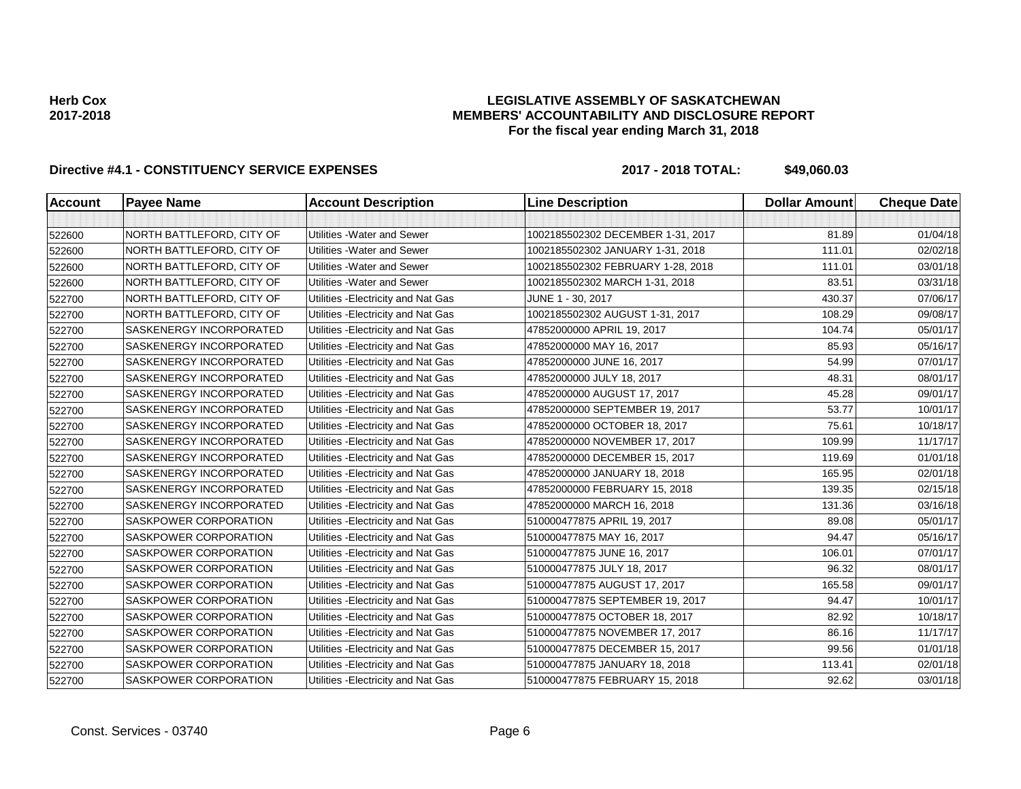## **LEGISLATIVE ASSEMBLY OF SASKATCHEWAN MEMBERS' ACCOUNTABILITY AND DISCLOSURE REPORT For the fiscal year ending March 31, 2018**

| <b>Account</b> | <b>Payee Name</b>              | <b>Account Description</b>          | <b>Line Description</b>           | <b>Dollar Amount</b> | <b>Cheque Date</b> |
|----------------|--------------------------------|-------------------------------------|-----------------------------------|----------------------|--------------------|
|                |                                |                                     |                                   |                      |                    |
| 522600         | NORTH BATTLEFORD, CITY OF      | Utilities - Water and Sewer         | 1002185502302 DECEMBER 1-31, 2017 | 81.89                | 01/04/18           |
| 522600         | NORTH BATTLEFORD, CITY OF      | Utilities - Water and Sewer         | 1002185502302 JANUARY 1-31, 2018  | 111.01               | 02/02/18           |
| 522600         | NORTH BATTLEFORD, CITY OF      | Utilities - Water and Sewer         | 1002185502302 FEBRUARY 1-28, 2018 | 111.01               | 03/01/18           |
| 522600         | NORTH BATTLEFORD, CITY OF      | Utilities - Water and Sewer         | 1002185502302 MARCH 1-31, 2018    | 83.51                | 03/31/18           |
| 522700         | NORTH BATTLEFORD, CITY OF      | Utilities - Electricity and Nat Gas | JUNE 1 - 30, 2017                 | 430.37               | 07/06/17           |
| 522700         | NORTH BATTLEFORD, CITY OF      | Utilities - Electricity and Nat Gas | 1002185502302 AUGUST 1-31, 2017   | 108.29               | 09/08/17           |
| 522700         | SASKENERGY INCORPORATED        | Utilities - Electricity and Nat Gas | 47852000000 APRIL 19, 2017        | 104.74               | 05/01/17           |
| 522700         | SASKENERGY INCORPORATED        | Utilities - Electricity and Nat Gas | 47852000000 MAY 16, 2017          | 85.93                | 05/16/17           |
| 522700         | SASKENERGY INCORPORATED        | Utilities - Electricity and Nat Gas | 47852000000 JUNE 16, 2017         | 54.99                | 07/01/17           |
| 522700         | SASKENERGY INCORPORATED        | Utilities - Electricity and Nat Gas | 47852000000 JULY 18, 2017         | 48.31                | 08/01/17           |
| 522700         | SASKENERGY INCORPORATED        | Utilities - Electricity and Nat Gas | 47852000000 AUGUST 17, 2017       | 45.28                | 09/01/17           |
| 522700         | SASKENERGY INCORPORATED        | Utilities - Electricity and Nat Gas | 47852000000 SEPTEMBER 19, 2017    | 53.77                | 10/01/17           |
| 522700         | <b>SASKENERGY INCORPORATED</b> | Utilities - Electricity and Nat Gas | 47852000000 OCTOBER 18, 2017      | 75.61                | 10/18/17           |
| 522700         | <b>SASKENERGY INCORPORATED</b> | Utilities - Electricity and Nat Gas | 47852000000 NOVEMBER 17, 2017     | 109.99               | 11/17/17           |
| 522700         | SASKENERGY INCORPORATED        | Utilities - Electricity and Nat Gas | 47852000000 DECEMBER 15, 2017     | 119.69               | 01/01/18           |
| 522700         | SASKENERGY INCORPORATED        | Utilities - Electricity and Nat Gas | 47852000000 JANUARY 18, 2018      | 165.95               | 02/01/18           |
| 522700         | <b>SASKENERGY INCORPORATED</b> | Utilities - Electricity and Nat Gas | 47852000000 FEBRUARY 15, 2018     | 139.35               | 02/15/18           |
| 522700         | SASKENERGY INCORPORATED        | Utilities - Electricity and Nat Gas | 47852000000 MARCH 16, 2018        | 131.36               | 03/16/18           |
| 522700         | SASKPOWER CORPORATION          | Utilities - Electricity and Nat Gas | 510000477875 APRIL 19, 2017       | 89.08                | 05/01/17           |
| 522700         | <b>SASKPOWER CORPORATION</b>   | Utilities - Electricity and Nat Gas | 510000477875 MAY 16, 2017         | 94.47                | 05/16/17           |
| 522700         | <b>SASKPOWER CORPORATION</b>   | Utilities - Electricity and Nat Gas | 510000477875 JUNE 16, 2017        | 106.01               | 07/01/17           |
| 522700         | <b>SASKPOWER CORPORATION</b>   | Utilities - Electricity and Nat Gas | 510000477875 JULY 18, 2017        | 96.32                | 08/01/17           |
| 522700         | SASKPOWER CORPORATION          | Utilities - Electricity and Nat Gas | 510000477875 AUGUST 17, 2017      | 165.58               | 09/01/17           |
| 522700         | <b>SASKPOWER CORPORATION</b>   | Utilities - Electricity and Nat Gas | 510000477875 SEPTEMBER 19, 2017   | 94.47                | 10/01/17           |
| 522700         | <b>SASKPOWER CORPORATION</b>   | Utilities - Electricity and Nat Gas | 510000477875 OCTOBER 18, 2017     | 82.92                | 10/18/17           |
| 522700         | <b>SASKPOWER CORPORATION</b>   | Utilities - Electricity and Nat Gas | 510000477875 NOVEMBER 17, 2017    | 86.16                | 11/17/17           |
| 522700         | SASKPOWER CORPORATION          | Utilities - Electricity and Nat Gas | 510000477875 DECEMBER 15, 2017    | 99.56                | 01/01/18           |
| 522700         | SASKPOWER CORPORATION          | Utilities - Electricity and Nat Gas | 510000477875 JANUARY 18, 2018     | 113.41               | 02/01/18           |
| 522700         | SASKPOWER CORPORATION          | Utilities - Electricity and Nat Gas | 510000477875 FEBRUARY 15, 2018    | 92.62                | 03/01/18           |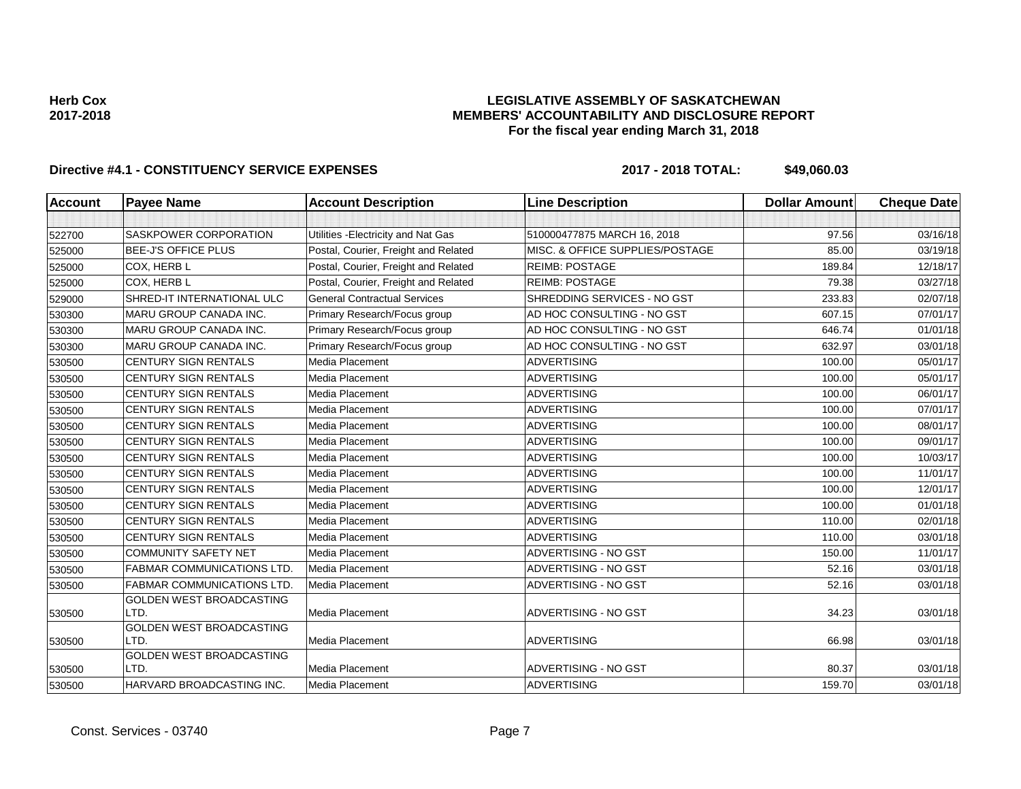### **LEGISLATIVE ASSEMBLY OF SASKATCHEWAN MEMBERS' ACCOUNTABILITY AND DISCLOSURE REPORT For the fiscal year ending March 31, 2018**

| <b>Account</b> | <b>Payee Name</b>                 | <b>Account Description</b>           | <b>Line Description</b>         | <b>Dollar Amount</b> | <b>Cheque Date</b> |
|----------------|-----------------------------------|--------------------------------------|---------------------------------|----------------------|--------------------|
|                |                                   |                                      |                                 |                      |                    |
| 522700         | <b>SASKPOWER CORPORATION</b>      | Utilities - Electricity and Nat Gas  | 510000477875 MARCH 16, 2018     | 97.56                | 03/16/18           |
| 525000         | <b>BEE-J'S OFFICE PLUS</b>        | Postal, Courier, Freight and Related | MISC. & OFFICE SUPPLIES/POSTAGE | 85.00                | 03/19/18           |
| 525000         | COX, HERB L                       | Postal, Courier, Freight and Related | <b>REIMB: POSTAGE</b>           | 189.84               | 12/18/17           |
| 525000         | COX, HERB L                       | Postal, Courier, Freight and Related | <b>REIMB: POSTAGE</b>           | 79.38                | 03/27/18           |
| 529000         | SHRED-IT INTERNATIONAL ULC        | <b>General Contractual Services</b>  | SHREDDING SERVICES - NO GST     | 233.83               | 02/07/18           |
| 530300         | MARU GROUP CANADA INC.            | Primary Research/Focus group         | AD HOC CONSULTING - NO GST      | 607.15               | 07/01/17           |
| 530300         | <b>MARU GROUP CANADA INC.</b>     | Primary Research/Focus group         | AD HOC CONSULTING - NO GST      | 646.74               | 01/01/18           |
| 530300         | MARU GROUP CANADA INC.            | Primary Research/Focus group         | AD HOC CONSULTING - NO GST      | 632.97               | 03/01/18           |
| 530500         | <b>CENTURY SIGN RENTALS</b>       | Media Placement                      | <b>ADVERTISING</b>              | 100.00               | 05/01/17           |
| 530500         | <b>CENTURY SIGN RENTALS</b>       | Media Placement                      | <b>ADVERTISING</b>              | 100.00               | 05/01/17           |
| 530500         | CENTURY SIGN RENTALS              | <b>Media Placement</b>               | <b>ADVERTISING</b>              | 100.00               | 06/01/17           |
| 530500         | <b>CENTURY SIGN RENTALS</b>       | Media Placement                      | <b>ADVERTISING</b>              | 100.00               | 07/01/17           |
| 530500         | <b>CENTURY SIGN RENTALS</b>       | Media Placement                      | <b>ADVERTISING</b>              | 100.00               | 08/01/17           |
| 530500         | <b>CENTURY SIGN RENTALS</b>       | Media Placement                      | <b>ADVERTISING</b>              | 100.00               | 09/01/17           |
| 530500         | CENTURY SIGN RENTALS              | Media Placement                      | <b>ADVERTISING</b>              | 100.00               | 10/03/17           |
| 530500         | <b>CENTURY SIGN RENTALS</b>       | Media Placement                      | <b>ADVERTISING</b>              | 100.00               | 11/01/17           |
| 530500         | <b>CENTURY SIGN RENTALS</b>       | Media Placement                      | <b>ADVERTISING</b>              | 100.00               | 12/01/17           |
| 530500         | <b>CENTURY SIGN RENTALS</b>       | Media Placement                      | <b>ADVERTISING</b>              | 100.00               | 01/01/18           |
| 530500         | <b>CENTURY SIGN RENTALS</b>       | Media Placement                      | <b>ADVERTISING</b>              | 110.00               | 02/01/18           |
| 530500         | CENTURY SIGN RENTALS              | Media Placement                      | <b>ADVERTISING</b>              | 110.00               | 03/01/18           |
| 530500         | <b>COMMUNITY SAFETY NET</b>       | Media Placement                      | ADVERTISING - NO GST            | 150.00               | 11/01/17           |
| 530500         | FABMAR COMMUNICATIONS LTD.        | Media Placement                      | ADVERTISING - NO GST            | 52.16                | 03/01/18           |
| 530500         | <b>FABMAR COMMUNICATIONS LTD.</b> | Media Placement                      | ADVERTISING - NO GST            | 52.16                | 03/01/18           |
|                | <b>GOLDEN WEST BROADCASTING</b>   |                                      |                                 |                      |                    |
| 530500         | LTD.                              | Media Placement                      | ADVERTISING - NO GST            | 34.23                | 03/01/18           |
| 530500         | GOLDEN WEST BROADCASTING<br>LTD.  | Media Placement                      | <b>ADVERTISING</b>              | 66.98                | 03/01/18           |
|                | <b>GOLDEN WEST BROADCASTING</b>   |                                      |                                 |                      |                    |
| 530500         | LTD.                              | Media Placement                      | ADVERTISING - NO GST            | 80.37                | 03/01/18           |
| 530500         | HARVARD BROADCASTING INC.         | Media Placement                      | <b>ADVERTISING</b>              | 159.70               | 03/01/18           |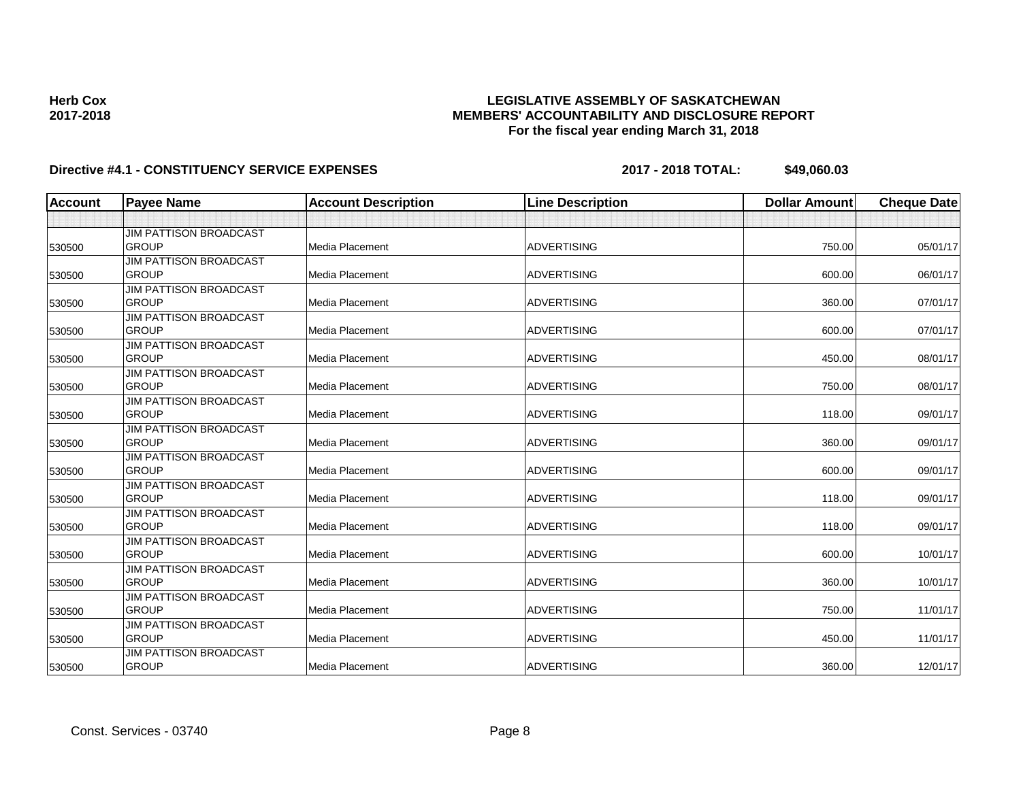# **Directive #4.1 - CONSTITUENCY SERVICE EXPENSES 2017 - 2018 TOTAL: \$49,060.03**

| <b>Account</b> | <b>Payee Name</b>                      | <b>Account Description</b> | <b>Line Description</b> | <b>Dollar Amount</b> | <b>Cheque Date</b> |
|----------------|----------------------------------------|----------------------------|-------------------------|----------------------|--------------------|
|                |                                        |                            |                         |                      |                    |
|                | <b>JIM PATTISON BROADCAST</b>          |                            |                         |                      |                    |
| 530500         | <b>GROUP</b>                           | Media Placement            | <b>ADVERTISING</b>      | 750.00               | 05/01/17           |
|                | <b>JIM PATTISON BROADCAST</b>          |                            |                         |                      |                    |
| 530500         | <b>GROUP</b>                           | Media Placement            | <b>ADVERTISING</b>      | 600.00               | 06/01/17           |
|                | <b>JIM PATTISON BROADCAST</b>          |                            |                         |                      |                    |
| 530500         | <b>GROUP</b>                           | Media Placement            | <b>ADVERTISING</b>      | 360.00               | 07/01/17           |
|                | <b>JIM PATTISON BROADCAST</b>          |                            |                         |                      |                    |
| 530500         | <b>GROUP</b>                           | Media Placement            | <b>ADVERTISING</b>      | 600.00               | 07/01/17           |
|                | <b>JIM PATTISON BROADCAST</b>          |                            |                         |                      |                    |
| 530500         | <b>GROUP</b>                           | Media Placement            | <b>ADVERTISING</b>      | 450.00               | 08/01/17           |
|                | <b>JIM PATTISON BROADCAST</b>          |                            |                         |                      |                    |
| 530500         | <b>GROUP</b>                           | Media Placement            | <b>ADVERTISING</b>      | 750.00               | 08/01/17           |
|                | <b>JIM PATTISON BROADCAST</b>          |                            |                         |                      |                    |
| 530500         | <b>GROUP</b>                           | Media Placement            | <b>ADVERTISING</b>      | 118.00               | 09/01/17           |
|                | <b>JIM PATTISON BROADCAST</b>          |                            |                         |                      |                    |
| 530500         | <b>GROUP</b>                           | Media Placement            | <b>ADVERTISING</b>      | 360.00               | 09/01/17           |
|                | <b>JIM PATTISON BROADCAST</b>          |                            |                         |                      |                    |
| 530500         | <b>GROUP</b>                           | Media Placement            | <b>ADVERTISING</b>      | 600.00               | 09/01/17           |
|                | <b>JIM PATTISON BROADCAST</b>          |                            |                         |                      |                    |
| 530500         | <b>GROUP</b>                           | Media Placement            | <b>ADVERTISING</b>      | 118.00               | 09/01/17           |
|                | <b>JIM PATTISON BROADCAST</b>          |                            |                         |                      |                    |
| 530500         | <b>GROUP</b>                           | Media Placement            | <b>ADVERTISING</b>      | 118.00               | 09/01/17           |
|                | JIM PATTISON BROADCAST<br><b>GROUP</b> | Media Placement            | <b>ADVERTISING</b>      | 600.00               | 10/01/17           |
| 530500         |                                        |                            |                         |                      |                    |
|                | JIM PATTISON BROADCAST<br><b>GROUP</b> | Media Placement            | <b>ADVERTISING</b>      | 360.00               | 10/01/17           |
| 530500         | <b>JIM PATTISON BROADCAST</b>          |                            |                         |                      |                    |
| 530500         | <b>GROUP</b>                           | Media Placement            | <b>ADVERTISING</b>      | 750.00               | 11/01/17           |
|                | <b>JIM PATTISON BROADCAST</b>          |                            |                         |                      |                    |
| 530500         | <b>GROUP</b>                           | Media Placement            | <b>ADVERTISING</b>      | 450.00               | 11/01/17           |
|                | <b>JIM PATTISON BROADCAST</b>          |                            |                         |                      |                    |
| 530500         | <b>GROUP</b>                           | Media Placement            | <b>ADVERTISING</b>      | 360.00               | 12/01/17           |
|                |                                        |                            |                         |                      |                    |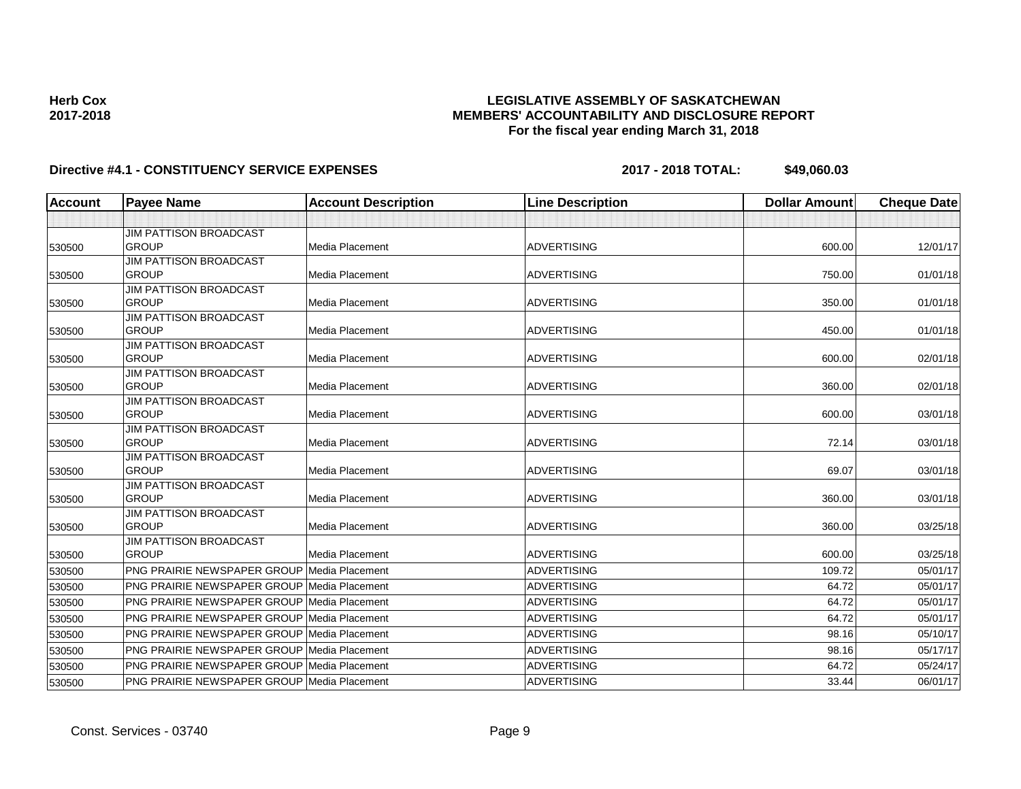# **Directive #4.1 - CONSTITUENCY SERVICE EXPENSES 2017 - 2018 TOTAL: \$49,060.03**

| <b>Account</b> | <b>Payee Name</b>                                  | <b>Account Description</b> | <b>Line Description</b> | <b>Dollar Amount</b> | <b>Cheque Date</b> |
|----------------|----------------------------------------------------|----------------------------|-------------------------|----------------------|--------------------|
|                |                                                    |                            |                         |                      |                    |
|                | <b>JIM PATTISON BROADCAST</b>                      |                            |                         |                      |                    |
| 530500         | <b>GROUP</b>                                       | Media Placement            | <b>ADVERTISING</b>      | 600.00               | 12/01/17           |
|                | <b>JIM PATTISON BROADCAST</b>                      |                            |                         |                      |                    |
| 530500         | <b>GROUP</b>                                       | Media Placement            | <b>ADVERTISING</b>      | 750.00               | 01/01/18           |
|                | <b>JIM PATTISON BROADCAST</b>                      |                            |                         |                      |                    |
| 530500         | <b>GROUP</b>                                       | Media Placement            | <b>ADVERTISING</b>      | 350.00               | 01/01/18           |
|                | <b>JIM PATTISON BROADCAST</b><br><b>GROUP</b>      |                            |                         |                      |                    |
| 530500         |                                                    | Media Placement            | <b>ADVERTISING</b>      | 450.00               | 01/01/18           |
| 530500         | <b>JIM PATTISON BROADCAST</b><br><b>GROUP</b>      | Media Placement            | <b>ADVERTISING</b>      | 600.00               | 02/01/18           |
|                | <b>JIM PATTISON BROADCAST</b>                      |                            |                         |                      |                    |
| 530500         | <b>GROUP</b>                                       | Media Placement            | <b>ADVERTISING</b>      | 360.00               | 02/01/18           |
|                | <b>JIM PATTISON BROADCAST</b>                      |                            |                         |                      |                    |
| 530500         | <b>GROUP</b>                                       | Media Placement            | <b>ADVERTISING</b>      | 600.00               | 03/01/18           |
|                | <b>JIM PATTISON BROADCAST</b>                      |                            |                         |                      |                    |
| 530500         | <b>GROUP</b>                                       | Media Placement            | <b>ADVERTISING</b>      | 72.14                | 03/01/18           |
|                | <b>JIM PATTISON BROADCAST</b>                      |                            |                         |                      |                    |
| 530500         | <b>GROUP</b>                                       | <b>Media Placement</b>     | <b>ADVERTISING</b>      | 69.07                | 03/01/18           |
|                | <b>JIM PATTISON BROADCAST</b>                      |                            |                         |                      |                    |
| 530500         | <b>GROUP</b>                                       | Media Placement            | <b>ADVERTISING</b>      | 360.00               | 03/01/18           |
|                | <b>JIM PATTISON BROADCAST</b>                      |                            |                         |                      |                    |
| 530500         | <b>GROUP</b>                                       | Media Placement            | <b>ADVERTISING</b>      | 360.00               | 03/25/18           |
|                | <b>JIM PATTISON BROADCAST</b>                      |                            |                         |                      |                    |
| 530500         | <b>GROUP</b>                                       | Media Placement            | <b>ADVERTISING</b>      | 600.00               | 03/25/18           |
| 530500         | <b>PNG PRAIRIE NEWSPAPER GROUP Media Placement</b> |                            | <b>ADVERTISING</b>      | 109.72               | 05/01/17           |
| 530500         | <b>PNG PRAIRIE NEWSPAPER GROUP Media Placement</b> |                            | <b>ADVERTISING</b>      | 64.72                | 05/01/17           |
| 530500         | <b>PNG PRAIRIE NEWSPAPER GROUP Media Placement</b> |                            | <b>ADVERTISING</b>      | 64.72                | 05/01/17           |
| 530500         | <b>PNG PRAIRIE NEWSPAPER GROUP Media Placement</b> |                            | <b>ADVERTISING</b>      | 64.72                | 05/01/17           |
| 530500         | <b>PNG PRAIRIE NEWSPAPER GROUP Media Placement</b> |                            | <b>ADVERTISING</b>      | 98.16                | 05/10/17           |
| 530500         | <b>PNG PRAIRIE NEWSPAPER GROUP Media Placement</b> |                            | <b>ADVERTISING</b>      | 98.16                | 05/17/17           |
| 530500         | <b>PNG PRAIRIE NEWSPAPER GROUP Media Placement</b> |                            | <b>ADVERTISING</b>      | 64.72                | 05/24/17           |
| 530500         | <b>PNG PRAIRIE NEWSPAPER GROUP Media Placement</b> |                            | <b>ADVERTISING</b>      | 33.44                | 06/01/17           |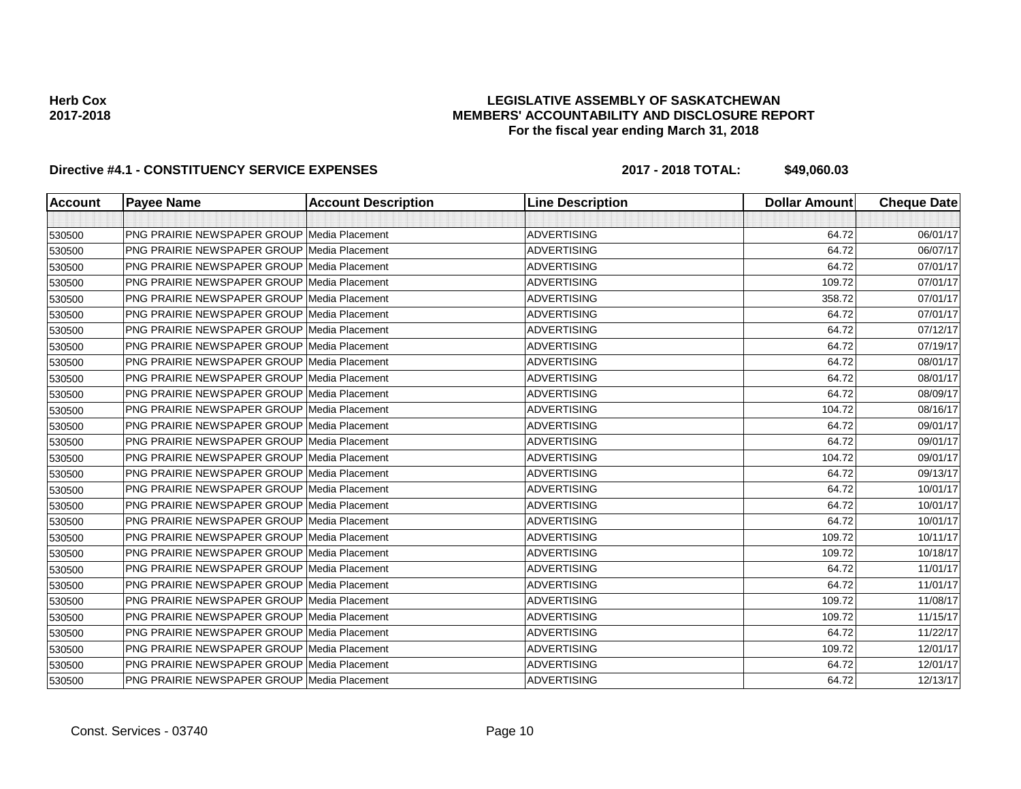## **LEGISLATIVE ASSEMBLY OF SASKATCHEWAN MEMBERS' ACCOUNTABILITY AND DISCLOSURE REPORT For the fiscal year ending March 31, 2018**

| <b>Account</b> | <b>Payee Name</b>                                  | <b>Account Description</b> | <b>Line Description</b> | <b>Dollar Amount</b> | <b>Cheque Date</b> |
|----------------|----------------------------------------------------|----------------------------|-------------------------|----------------------|--------------------|
|                |                                                    |                            |                         |                      |                    |
| 530500         | <b>PNG PRAIRIE NEWSPAPER GROUP Media Placement</b> |                            | <b>ADVERTISING</b>      | 64.72                | 06/01/17           |
| 530500         | <b>PNG PRAIRIE NEWSPAPER GROUP Media Placement</b> |                            | <b>ADVERTISING</b>      | 64.72                | 06/07/17           |
| 530500         | <b>PNG PRAIRIE NEWSPAPER GROUP Media Placement</b> |                            | <b>ADVERTISING</b>      | 64.72                | 07/01/17           |
| 530500         | PNG PRAIRIE NEWSPAPER GROUP Media Placement        |                            | <b>ADVERTISING</b>      | 109.72               | 07/01/17           |
| 530500         | <b>PNG PRAIRIE NEWSPAPER GROUP Media Placement</b> |                            | <b>ADVERTISING</b>      | 358.72               | 07/01/17           |
| 530500         | <b>PNG PRAIRIE NEWSPAPER GROUP Media Placement</b> |                            | <b>ADVERTISING</b>      | 64.72                | 07/01/17           |
| 530500         | <b>PNG PRAIRIE NEWSPAPER GROUP Media Placement</b> |                            | <b>ADVERTISING</b>      | 64.72                | 07/12/17           |
| 530500         | PNG PRAIRIE NEWSPAPER GROUP Media Placement        |                            | <b>ADVERTISING</b>      | 64.72                | 07/19/17           |
| 530500         | <b>PNG PRAIRIE NEWSPAPER GROUP Media Placement</b> |                            | <b>ADVERTISING</b>      | 64.72                | 08/01/17           |
| 530500         | PNG PRAIRIE NEWSPAPER GROUP Media Placement        |                            | <b>ADVERTISING</b>      | 64.72                | 08/01/17           |
| 530500         | <b>PNG PRAIRIE NEWSPAPER GROUP Media Placement</b> |                            | <b>ADVERTISING</b>      | 64.72                | 08/09/17           |
| 530500         | PNG PRAIRIE NEWSPAPER GROUP   Media Placement      |                            | <b>ADVERTISING</b>      | 104.72               | 08/16/17           |
| 530500         | <b>PNG PRAIRIE NEWSPAPER GROUP Media Placement</b> |                            | <b>ADVERTISING</b>      | 64.72                | 09/01/17           |
| 530500         | <b>PNG PRAIRIE NEWSPAPER GROUP Media Placement</b> |                            | <b>ADVERTISING</b>      | 64.72                | 09/01/17           |
| 530500         | <b>PNG PRAIRIE NEWSPAPER GROUP Media Placement</b> |                            | <b>ADVERTISING</b>      | 104.72               | 09/01/17           |
| 530500         | <b>PNG PRAIRIE NEWSPAPER GROUP Media Placement</b> |                            | <b>ADVERTISING</b>      | 64.72                | 09/13/17           |
| 530500         | <b>PNG PRAIRIE NEWSPAPER GROUP Media Placement</b> |                            | <b>ADVERTISING</b>      | 64.72                | 10/01/17           |
| 530500         | <b>PNG PRAIRIE NEWSPAPER GROUP Media Placement</b> |                            | <b>ADVERTISING</b>      | 64.72                | 10/01/17           |
| 530500         | <b>PNG PRAIRIE NEWSPAPER GROUP Media Placement</b> |                            | <b>ADVERTISING</b>      | 64.72                | 10/01/17           |
| 530500         | PNG PRAIRIE NEWSPAPER GROUP Media Placement        |                            | <b>ADVERTISING</b>      | 109.72               | 10/11/17           |
| 530500         | <b>PNG PRAIRIE NEWSPAPER GROUP Media Placement</b> |                            | <b>ADVERTISING</b>      | 109.72               | 10/18/17           |
| 530500         | <b>PNG PRAIRIE NEWSPAPER GROUP Media Placement</b> |                            | <b>ADVERTISING</b>      | 64.72                | 11/01/17           |
| 530500         | PNG PRAIRIE NEWSPAPER GROUP Media Placement        |                            | <b>ADVERTISING</b>      | 64.72                | 11/01/17           |
| 530500         | <b>PNG PRAIRIE NEWSPAPER GROUP Media Placement</b> |                            | <b>ADVERTISING</b>      | 109.72               | 11/08/17           |
| 530500         | <b>PNG PRAIRIE NEWSPAPER GROUP Media Placement</b> |                            | <b>ADVERTISING</b>      | 109.72               | 11/15/17           |
| 530500         | <b>PNG PRAIRIE NEWSPAPER GROUP Media Placement</b> |                            | <b>ADVERTISING</b>      | 64.72                | 11/22/17           |
| 530500         | <b>PNG PRAIRIE NEWSPAPER GROUP Media Placement</b> |                            | <b>ADVERTISING</b>      | 109.72               | 12/01/17           |
| 530500         | <b>PNG PRAIRIE NEWSPAPER GROUP Media Placement</b> |                            | <b>ADVERTISING</b>      | 64.72                | 12/01/17           |
| 530500         | <b>PNG PRAIRIE NEWSPAPER GROUP Media Placement</b> |                            | <b>ADVERTISING</b>      | 64.72                | 12/13/17           |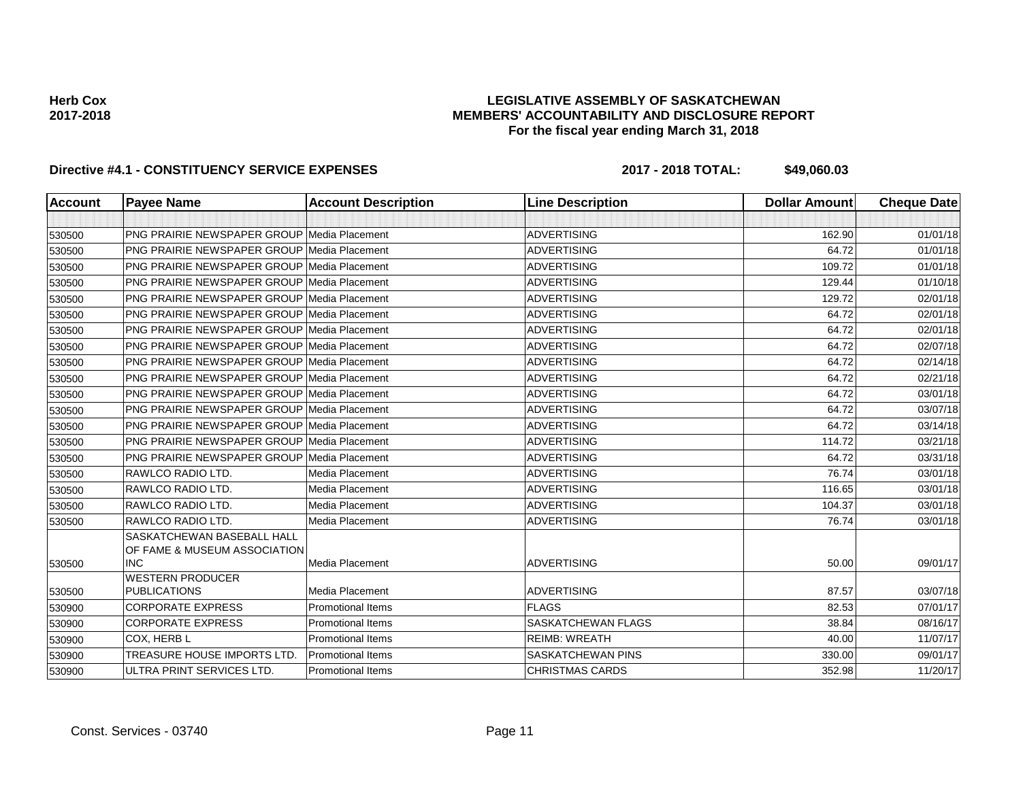### **LEGISLATIVE ASSEMBLY OF SASKATCHEWAN MEMBERS' ACCOUNTABILITY AND DISCLOSURE REPORT For the fiscal year ending March 31, 2018**

| Account | <b>Payee Name</b>                                          | <b>Account Description</b> | <b>Line Description</b>   | <b>Dollar Amount</b> | <b>Cheque Date</b> |
|---------|------------------------------------------------------------|----------------------------|---------------------------|----------------------|--------------------|
|         |                                                            |                            |                           |                      |                    |
| 530500  | PNG PRAIRIE NEWSPAPER GROUP Media Placement                |                            | <b>ADVERTISING</b>        | 162.90               | 01/01/18           |
| 530500  | <b>PNG PRAIRIE NEWSPAPER GROUP Media Placement</b>         |                            | <b>ADVERTISING</b>        | 64.72                | 01/01/18           |
| 530500  | <b>PNG PRAIRIE NEWSPAPER GROUP Media Placement</b>         |                            | <b>ADVERTISING</b>        | 109.72               | 01/01/18           |
| 530500  | <b>PNG PRAIRIE NEWSPAPER GROUP Media Placement</b>         |                            | <b>ADVERTISING</b>        | 129.44               | 01/10/18           |
| 530500  | <b>PNG PRAIRIE NEWSPAPER GROUP Media Placement</b>         |                            | <b>ADVERTISING</b>        | 129.72               | 02/01/18           |
| 530500  | <b>PNG PRAIRIE NEWSPAPER GROUP Media Placement</b>         |                            | <b>ADVERTISING</b>        | 64.72                | 02/01/18           |
| 530500  | <b>PNG PRAIRIE NEWSPAPER GROUP Media Placement</b>         |                            | <b>ADVERTISING</b>        | 64.72                | 02/01/18           |
| 530500  | <b>PNG PRAIRIE NEWSPAPER GROUP Media Placement</b>         |                            | <b>ADVERTISING</b>        | 64.72                | 02/07/18           |
| 530500  | <b>PNG PRAIRIE NEWSPAPER GROUP Media Placement</b>         |                            | <b>ADVERTISING</b>        | 64.72                | 02/14/18           |
| 530500  | <b>PNG PRAIRIE NEWSPAPER GROUP Media Placement</b>         |                            | <b>ADVERTISING</b>        | 64.72                | 02/21/18           |
| 530500  | <b>PNG PRAIRIE NEWSPAPER GROUP Media Placement</b>         |                            | <b>ADVERTISING</b>        | 64.72                | 03/01/18           |
| 530500  | <b>PNG PRAIRIE NEWSPAPER GROUP Media Placement</b>         |                            | <b>ADVERTISING</b>        | 64.72                | 03/07/18           |
| 530500  | <b>PNG PRAIRIE NEWSPAPER GROUP Media Placement</b>         |                            | <b>ADVERTISING</b>        | 64.72                | 03/14/18           |
| 530500  | <b>PNG PRAIRIE NEWSPAPER GROUP Media Placement</b>         |                            | <b>ADVERTISING</b>        | 114.72               | 03/21/18           |
| 530500  | <b>PNG PRAIRIE NEWSPAPER GROUP Media Placement</b>         |                            | <b>ADVERTISING</b>        | 64.72                | 03/31/18           |
| 530500  | RAWLCO RADIO LTD.                                          | <b>Media Placement</b>     | <b>ADVERTISING</b>        | 76.74                | 03/01/18           |
| 530500  | RAWLCO RADIO LTD.                                          | Media Placement            | <b>ADVERTISING</b>        | 116.65               | 03/01/18           |
| 530500  | RAWLCO RADIO LTD.                                          | Media Placement            | <b>ADVERTISING</b>        | 104.37               | 03/01/18           |
| 530500  | RAWLCO RADIO LTD.                                          | Media Placement            | <b>ADVERTISING</b>        | 76.74                | 03/01/18           |
|         | SASKATCHEWAN BASEBALL HALL<br>OF FAME & MUSEUM ASSOCIATION |                            |                           |                      |                    |
| 530500  | <b>INC</b>                                                 | Media Placement            | <b>ADVERTISING</b>        | 50.00                | 09/01/17           |
| 530500  | <b>WESTERN PRODUCER</b><br><b>PUBLICATIONS</b>             | Media Placement            | <b>ADVERTISING</b>        | 87.57                | 03/07/18           |
| 530900  | <b>CORPORATE EXPRESS</b>                                   | <b>Promotional Items</b>   | <b>FLAGS</b>              | 82.53                | 07/01/17           |
| 530900  | <b>CORPORATE EXPRESS</b>                                   | <b>Promotional Items</b>   | <b>SASKATCHEWAN FLAGS</b> | 38.84                | 08/16/17           |
| 530900  | <b>COX, HERB L</b>                                         | <b>Promotional Items</b>   | <b>REIMB: WREATH</b>      | 40.00                | 11/07/17           |
| 530900  | TREASURE HOUSE IMPORTS LTD.                                | <b>Promotional Items</b>   | <b>SASKATCHEWAN PINS</b>  | 330.00               | 09/01/17           |
| 530900  | ULTRA PRINT SERVICES LTD.                                  | <b>Promotional Items</b>   | <b>CHRISTMAS CARDS</b>    | 352.98               | 11/20/17           |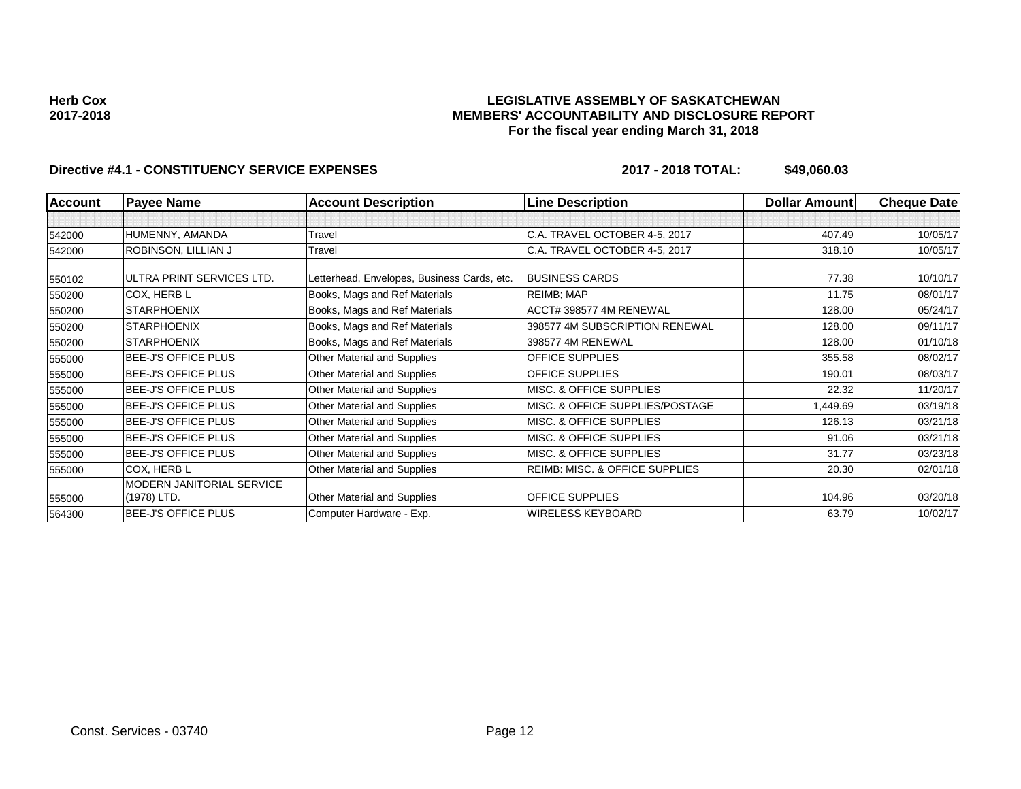### **LEGISLATIVE ASSEMBLY OF SASKATCHEWAN MEMBERS' ACCOUNTABILITY AND DISCLOSURE REPORT For the fiscal year ending March 31, 2018**

| <b>Account</b> | <b>Payee Name</b>                | <b>Account Description</b>                  | <b>Line Description</b>                   | <b>Dollar Amount</b> | <b>Cheque Date</b> |
|----------------|----------------------------------|---------------------------------------------|-------------------------------------------|----------------------|--------------------|
|                |                                  |                                             |                                           |                      |                    |
| 542000         | HUMENNY, AMANDA                  | Travel                                      | C.A. TRAVEL OCTOBER 4-5, 2017             | 407.49               | 10/05/17           |
| 542000         | ROBINSON, LILLIAN J              | Travel                                      | C.A. TRAVEL OCTOBER 4-5, 2017             | 318.10               | 10/05/17           |
| 550102         | ULTRA PRINT SERVICES LTD.        | Letterhead, Envelopes, Business Cards, etc. | <b>BUSINESS CARDS</b>                     | 77.38                | 10/10/17           |
| 550200         | COX, HERB L                      | Books, Mags and Ref Materials               | <b>REIMB</b> ; MAP                        | 11.75                | 08/01/17           |
| 550200         | <b>STARPHOENIX</b>               | Books, Mags and Ref Materials               | ACCT# 398577 4M RENEWAL                   | 128.00               | 05/24/17           |
| 550200         | <b>STARPHOENIX</b>               | Books, Mags and Ref Materials               | 398577 4M SUBSCRIPTION RENEWAL            | 128.00               | 09/11/17           |
| 550200         | <b>STARPHOENIX</b>               | Books, Mags and Ref Materials               | 398577 4M RENEWAL                         | 128.00               | 01/10/18           |
| 555000         | <b>BEE-J'S OFFICE PLUS</b>       | Other Material and Supplies                 | <b>OFFICE SUPPLIES</b>                    | 355.58               | 08/02/17           |
| 555000         | BEE-J'S OFFICE PLUS              | Other Material and Supplies                 | <b>OFFICE SUPPLIES</b>                    | 190.01               | 08/03/17           |
| 555000         | <b>BEE-J'S OFFICE PLUS</b>       | Other Material and Supplies                 | MISC. & OFFICE SUPPLIES                   | 22.32                | 11/20/17           |
| 555000         | BEE-J'S OFFICE PLUS              | Other Material and Supplies                 | MISC. & OFFICE SUPPLIES/POSTAGE           | 1,449.69             | 03/19/18           |
| 555000         | BEE-J'S OFFICE PLUS              | Other Material and Supplies                 | MISC. & OFFICE SUPPLIES                   | 126.13               | 03/21/18           |
| 555000         | <b>BEE-J'S OFFICE PLUS</b>       | Other Material and Supplies                 | MISC. & OFFICE SUPPLIES                   | 91.06                | 03/21/18           |
| 555000         | <b>BEE-J'S OFFICE PLUS</b>       | Other Material and Supplies                 | MISC. & OFFICE SUPPLIES                   | 31.77                | 03/23/18           |
| 555000         | COX, HERB L                      | Other Material and Supplies                 | <b>REIMB: MISC. &amp; OFFICE SUPPLIES</b> | 20.30                | 02/01/18           |
|                | <b>MODERN JANITORIAL SERVICE</b> |                                             |                                           |                      |                    |
| 555000         | (1978) LTD.                      | Other Material and Supplies                 | <b>OFFICE SUPPLIES</b>                    | 104.96               | 03/20/18           |
| 564300         | BEE-J'S OFFICE PLUS              | Computer Hardware - Exp.                    | <b>WIRELESS KEYBOARD</b>                  | 63.79                | 10/02/17           |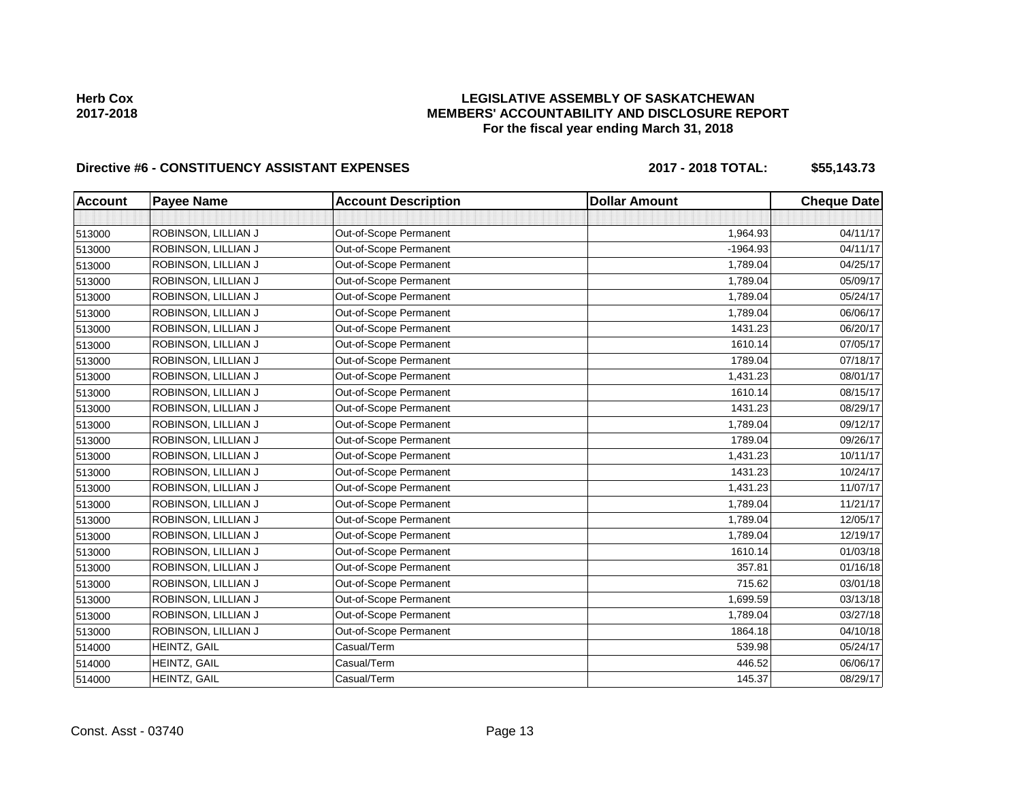# Directive #6 - CONSTITUENCY ASSISTANT EXPENSES 2017 - 2018 TOTAL: \$55,143.73

| <b>Account</b> | <b>Payee Name</b>   | <b>Account Description</b> | <b>Dollar Amount</b> | <b>Cheque Date</b> |
|----------------|---------------------|----------------------------|----------------------|--------------------|
|                |                     |                            |                      |                    |
| 513000         | ROBINSON, LILLIAN J | Out-of-Scope Permanent     | 1,964.93             | 04/11/17           |
| 513000         | ROBINSON, LILLIAN J | Out-of-Scope Permanent     | $-1964.93$           | 04/11/17           |
| 513000         | ROBINSON, LILLIAN J | Out-of-Scope Permanent     | 1,789.04             | 04/25/17           |
| 513000         | ROBINSON, LILLIAN J | Out-of-Scope Permanent     | 1,789.04             | 05/09/17           |
| 513000         | ROBINSON, LILLIAN J | Out-of-Scope Permanent     | 1,789.04             | 05/24/17           |
| 513000         | ROBINSON, LILLIAN J | Out-of-Scope Permanent     | 1,789.04             | 06/06/17           |
| 513000         | ROBINSON, LILLIAN J | Out-of-Scope Permanent     | 1431.23              | 06/20/17           |
| 513000         | ROBINSON, LILLIAN J | Out-of-Scope Permanent     | 1610.14              | 07/05/17           |
| 513000         | ROBINSON, LILLIAN J | Out-of-Scope Permanent     | 1789.04              | 07/18/17           |
| 513000         | ROBINSON, LILLIAN J | Out-of-Scope Permanent     | 1,431.23             | 08/01/17           |
| 513000         | ROBINSON, LILLIAN J | Out-of-Scope Permanent     | 1610.14              | 08/15/17           |
| 513000         | ROBINSON, LILLIAN J | Out-of-Scope Permanent     | 1431.23              | 08/29/17           |
| 513000         | ROBINSON, LILLIAN J | Out-of-Scope Permanent     | 1,789.04             | 09/12/17           |
| 513000         | ROBINSON, LILLIAN J | Out-of-Scope Permanent     | 1789.04              | 09/26/17           |
| 513000         | ROBINSON, LILLIAN J | Out-of-Scope Permanent     | 1,431.23             | 10/11/17           |
| 513000         | ROBINSON, LILLIAN J | Out-of-Scope Permanent     | 1431.23              | 10/24/17           |
| 513000         | ROBINSON, LILLIAN J | Out-of-Scope Permanent     | 1,431.23             | 11/07/17           |
| 513000         | ROBINSON, LILLIAN J | Out-of-Scope Permanent     | 1,789.04             | 11/21/17           |
| 513000         | ROBINSON, LILLIAN J | Out-of-Scope Permanent     | 1,789.04             | 12/05/17           |
| 513000         | ROBINSON, LILLIAN J | Out-of-Scope Permanent     | 1,789.04             | 12/19/17           |
| 513000         | ROBINSON, LILLIAN J | Out-of-Scope Permanent     | 1610.14              | 01/03/18           |
| 513000         | ROBINSON, LILLIAN J | Out-of-Scope Permanent     | 357.81               | 01/16/18           |
| 513000         | ROBINSON, LILLIAN J | Out-of-Scope Permanent     | 715.62               | 03/01/18           |
| 513000         | ROBINSON, LILLIAN J | Out-of-Scope Permanent     | 1,699.59             | 03/13/18           |
| 513000         | ROBINSON, LILLIAN J | Out-of-Scope Permanent     | 1,789.04             | 03/27/18           |
| 513000         | ROBINSON, LILLIAN J | Out-of-Scope Permanent     | 1864.18              | 04/10/18           |
| 514000         | HEINTZ, GAIL        | Casual/Term                | 539.98               | 05/24/17           |
| 514000         | HEINTZ, GAIL        | Casual/Term                | 446.52               | 06/06/17           |
| 514000         | HEINTZ, GAIL        | Casual/Term                | 145.37               | 08/29/17           |